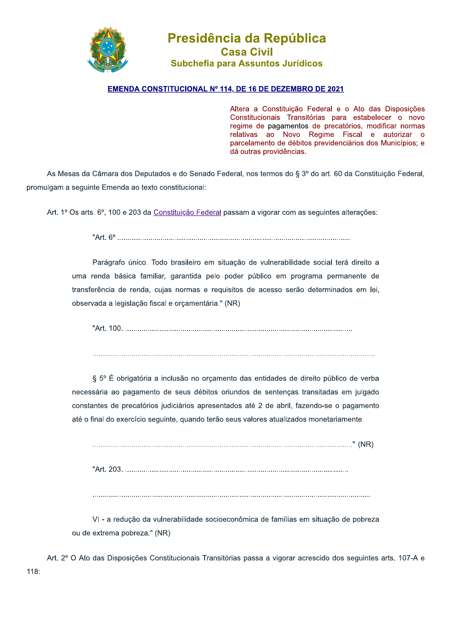

## Presidencia da Republica Casa Civil Subchefia para Assuntos Jurídicos **Presidência da Repúble Casa Civil<br>
Subchefia para Assuntos Jurídi<br>
STITUCIONAL Nº 114, DE 16 DE DEZEMBR<br>
Altera a Constituição<br>
Constitucionais Trans<br>
regime de pagamento:<br>
relativas ao Novo<br>
parcelamento de débite<br>
dá ou**

## <u>EMENDA CONSTITUCIONAL Nº 114, DE 16 DE DEZEMBRO DE 2021</u>

Altera a Constituição Federal e o Ato das Disposições Constitucionais Transitórias para estabelecer o novo regime de pagamentos de precatórios, modificar normas relativas ao Novo Regime Fiscal e autorizar o parcelamento de débitos previdenciários dos Municípios; e dá outras providências.

As Mesas da Câmara dos Deputados e do Senado Federal, nos termos do § 3º do art. 60 da Constituição Federal, promulgam a seguinte Emenda ao texto constitucional:

Art. 1º Os arts. 6º, 100 e 203 da Constituição Federal passam a vigorar com as seguintes alterações:

b.20T4ZY4TTTTTTTTTTTTTTTTTTTTTTTTTTTTTTTTTTTTTTTTTTTTTTTTTTTTTTTTTTTTTTTTTTTTTTTTTTTTTTTTTTTTTTTTTTTTTTTTTTTTTTTTTTTTTTTTTT

Parágrafo único. Todo brasileiro em situação de vulnerabilidade social terá direito a uma renda básica familiar, garantida pelo poder público em programa permanente de transferência de renda, cujas normas e requisitos de acesso serão determinados em lei, observada a legislação fiscal e orçamentária." (NR)

b.20T4\_[[T4TTTTTTTTTTTTTTTTTTTTTTTTTTTTTTTTTTTTTTTTTTTTTTTTTTTTTTTTTTTTTTTTTTTTTTTTTTTTTTTTTTTTTTTTTTTTTTTTTTTTTTTTTTTTTTT

TTTTTTTTTTTTTTTTTTTTTTTTTTTTTTTTTTTTTTTTTTTTTTTTTTTTTTTTTTTTTTTTTTTTTTTTTTTTTTTTTTTTTTTTTTTTTTTTTTTTTTTTTTTTTTTTTTTTTTTTTTTTTTTTTTTTTTTTTT

§ 5° É obrigatória a inclusão no orcamento das entidades de direito público de verba necessária ao pagamento de seus débitos oriundos de sentenças transitadas em julgado constantes de precatórios judiciários apresentados até 2 de abril, fazendo-se o pagamento até o final do exercício seguinte, guando terão seus valores atualizados monetariamente.

TTTTTTTTTTTTTTTTTTTTTTTTTTTTTTTTTTTTTTTTTTTTTTTTTTTTTTTTTTTTTTTTTTTTTTTTTTTTTTTTTTTTTTTTTTTTTTTTTTTTTTTTTTTTTTTTTTTTTTTTTTTTTTTb4gKLh b.20T4a[XT4TTTTTTTTTTTTTTTTTTTTTTTTTTTTTTTTTTTTTTTTTTTTTTTTTTTTTTTTTTTTTTTTTTTTTTTTTTTTTTTTTTTTTTTTTTTTTTTTTTTTTTTTTTTTT

TTTTTTTTTTTTTTTTTTTTTTTTTTTTTTTTTTTTTTTTTTTTTTTTTTTTTTTTTTTTTTTTTTTTTTTTTTTTTTTTTTTTTTTTTTTTTTTTTTTTTTTTTTTTTTTTTTTTTTTTTTTTTTTTTTTTTTTT

VI - a redução da vulnerabilidade socioeconômica de famílias em situação de pobreza ou de extrema pobreza." (NR)

Art. 2<sup>o</sup> O Ato das Disposições Constitucionais Transitórias passa a vigorar acrescido dos seguintes arts. 107-A e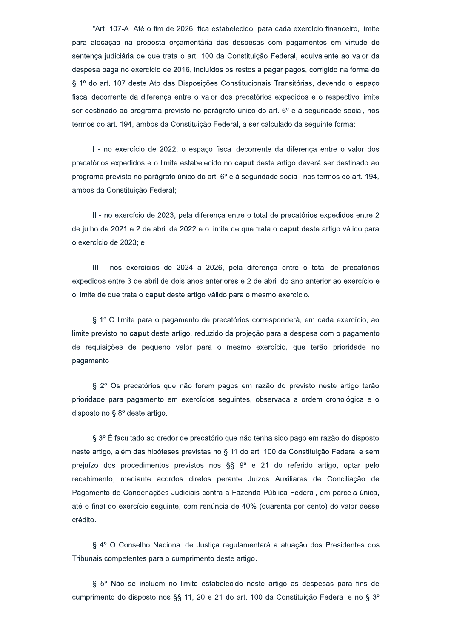"Art. 107-A. Até o fim de 2026, fica estabelecido, para cada exercício financeiro, limite para alocação na proposta orcamentária das despesas com pagamentos em virtude de sentença judiciária de que trata o art. 100 da Constituição Federal, equivalente ao valor da despesa paga no exercício de 2016, incluídos os restos a pagar pagos, corrigido na forma do § 1º do art. 107 deste Ato das Disposições Constitucionais Transitórias, devendo o espaço fiscal decorrente da diferenca entre o valor dos precatórios expedidos e o respectivo limite ser destinado ao programa previsto no parágrafo único do art. 6º e à seguridade social, nos termos do art. 194, ambos da Constituição Federal, a ser calculado da seguinte forma:

I - no exercício de 2022, o espaço fiscal decorrente da diferença entre o valor dos precatórios expedidos e o limite estabelecido no caput deste artigo deverá ser destinado ao programa previsto no parágrafo único do art. 6° e à seguridade social, nos termos do art. 194, ambos da Constituição Federal;

II - no exercício de 2023, pela diferenca entre o total de precatórios expedidos entre 2 de julho de 2021 e 2 de abril de 2022 e o limite de que trata o caput deste artigo válido para o exercício de 2023; e

III - nos exercícios de 2024 a 2026, pela diferença entre o total de precatórios expedidos entre 3 de abril de dois anos anteriores e 2 de abril do ano anterior ao exercício e o limite de que trata o caput deste artigo válido para o mesmo exercício.

§ 1º O limite para o pagamento de precatórios corresponderá, em cada exercício, ao limite previsto no caput deste artigo, reduzido da projeção para a despesa com o pagamento de requisições de pequeno valor para o mesmo exercício, que terão prioridade no pagamento.

§ 2° Os precatórios que não forem pagos em razão do previsto neste artigo terão prioridade para pagamento em exercícios seguintes, observada a ordem cronológica e o disposto no § 8° deste artigo.

§ 3° É facultado ao credor de precatório que não tenha sido pago em razão do disposto neste artigo, além das hipóteses previstas no § 11 do art. 100 da Constituição Federal e sem prejuízo dos procedimentos previstos nos §§ 9º e 21 do referido artigo, optar pelo recebimento, mediante acordos diretos perante Juízos Auxiliares de Conciliação de Pagamento de Condenações Judiciais contra a Fazenda Pública Federal, em parcela única, até o final do exercício seguinte, com renúncia de 40% (quarenta por cento) do valor desse crédito.

§ 4º O Conselho Nacional de Justica regulamentará a atuação dos Presidentes dos Tribunais competentes para o cumprimento deste artigo.

§ 5º Não se incluem no limite estabelecido neste artigo as despesas para fins de cumprimento do disposto nos §§ 11, 20 e 21 do art. 100 da Constituição Federal e no § 3°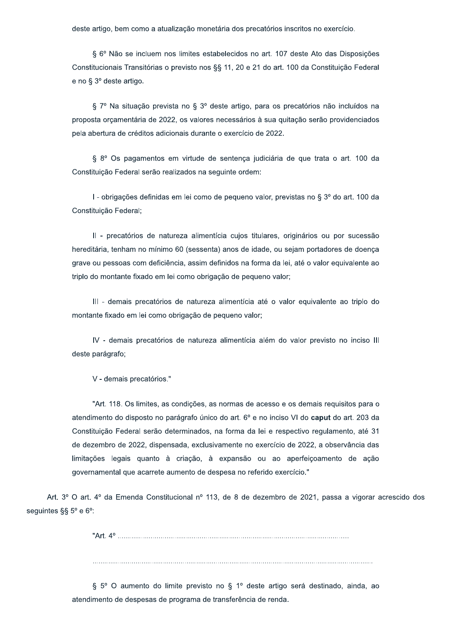deste artigo, bem como a atualização monetária dos precatórios inscritos no exercício.

§ 6º Não se incluem nos limites estabelecidos no art. 107 deste Ato das Disposições Constitucionais Transitórias o previsto nos §§ 11, 20 e 21 do art. 100 da Constituição Federal e no § 3º deste artigo.

§ 7º Na situação prevista no § 3º deste artigo, para os precatórios não incluídos na proposta orçamentária de 2022, os valores necessários à sua quitação serão providenciados pela abertura de créditos adicionais durante o exercício de 2022.

§ 8º Os pagamentos em virtude de sentença judiciária de que trata o art. 100 da Constituição Federal serão realizados na sequinte ordem:

I - obrigações definidas em lei como de pequeno valor, previstas no § 3º do art. 100 da Constituição Federal;

Il - precatórios de natureza alimentícia cujos titulares, originários ou por sucessão hereditária, tenham no mínimo 60 (sessenta) anos de idade, ou sejam portadores de doença grave ou pessoas com deficiência, assim definidos na forma da lei, até o valor equivalente ao triplo do montante fixado em lei como obrigação de pequeno valor;

III - demais precatórios de natureza alimentícia até o valor equivalente ao triplo do montante fixado em lei como obrigação de pequeno valor;

IV - demais precatórios de natureza alimentícia além do valor previsto no inciso III deste parágrafo;

V - demais precatórios."

"Art. 118. Os limites, as condições, as normas de acesso e os demais requisitos para o atendimento do disposto no parágrafo único do art. 6º e no inciso VI do caput do art. 203 da Constituição Federal serão determinados, na forma da lei e respectivo regulamento, até 31 de dezembro de 2022, dispensada, exclusivamente no exercício de 2022, a observância das limitações legais quanto à criação, à expansão ou ao aperfeiçoamento de ação governamental que acarrete aumento de despesa no referido exercício."

Art. 3º O art. 4º da Emenda Constitucional nº 113, de 8 de dezembro de 2021, passa a vigorar acrescido dos seguintes §§ 5° e 6°:

§ 5° O aumento do limite previsto no § 1° deste artigo será destinado, ainda, ao atendimento de despesas de programa de transferência de renda.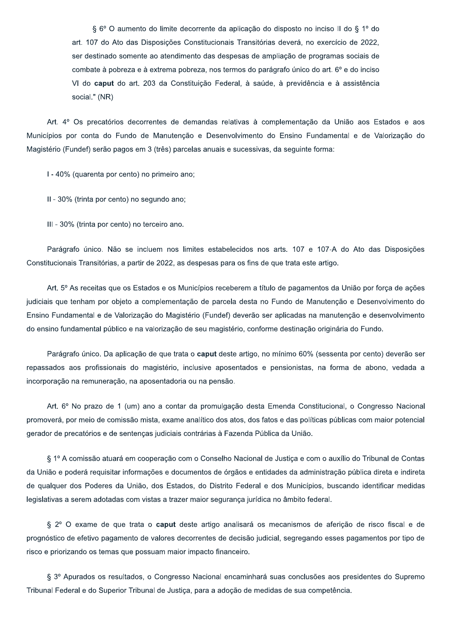§ 6º O aumento do limite decorrente da aplicação do disposto no inciso II do § 1º do art. 107 do Ato das Disposições Constitucionais Transitórias deverá, no exercício de 2022, ser destinado somente ao atendimento das despesas de ampliação de programas sociais de combate à pobreza e à extrema pobreza, nos termos do parágrafo único do art. 6º e do inciso VI do caput do art. 203 da Constituição Federal, à saúde, à previdência e à assistência social." (NR)

Art. 4º Os precatórios decorrentes de demandas relativas à complementação da União aos Estados e aos Municípios por conta do Fundo de Manutenção e Desenvolvimento do Ensino Fundamental e de Valorização do Magistério (Fundef) serão pagos em 3 (três) parcelas anuais e sucessivas, da seguinte forma:

I - 40% (quarenta por cento) no primeiro ano;

II - 30% (trinta por cento) no segundo ano;

III - 30% (trinta por cento) no terceiro ano.

Parágrafo único. Não se incluem nos limites estabelecidos nos arts. 107 e 107-A do Ato das Disposições Constitucionais Transitórias, a partir de 2022, as despesas para os fins de que trata este artigo.

Art. 5º As receitas que os Estados e os Municípios receberem a título de pagamentos da União por forca de ações judiciais que tenham por objeto a complementação de parcela desta no Fundo de Manutenção e Desenvolvimento do Ensino Fundamental e de Valorização do Magistério (Fundef) deverão ser aplicadas na manutenção e desenvolvimento do ensino fundamental público e na valorização de seu magistério, conforme destinação originária do Fundo.

Parágrafo único. Da aplicação de que trata o caput deste artigo, no mínimo 60% (sessenta por cento) deverão ser repassados aos profissionais do magistério, inclusive aposentados e pensionistas, na forma de abono, vedada a incorporação na remuneração, na aposentadoria ou na pensão.

Art. 6º No prazo de 1 (um) ano a contar da promulgação desta Emenda Constitucional, o Congresso Nacional promoverá, por meio de comissão mista, exame analítico dos atos, dos fatos e das políticas públicas com maior potencial gerador de precatórios e de sentenças judiciais contrárias à Fazenda Pública da União.

§ 1º A comissão atuará em cooperação com o Conselho Nacional de Justiça e com o auxílio do Tribunal de Contas da União e poderá requisitar informações e documentos de órgãos e entidades da administração pública direta e indireta de qualquer dos Poderes da União, dos Estados, do Distrito Federal e dos Municípios, buscando identificar medidas legislativas a serem adotadas com vistas a trazer maior segurança jurídica no âmbito federal.

§ 2° O exame de que trata o caput deste artigo analisará os mecanismos de aferição de risco fiscal e de prognóstico de efetivo pagamento de valores decorrentes de decisão judicial, segregando esses pagamentos por tipo de risco e priorizando os temas que possuam maior impacto financeiro.

§ 3º Apurados os resultados, o Congresso Nacional encaminhará suas conclusões aos presidentes do Supremo Tribunal Federal e do Superior Tribunal de Justiça, para a adoção de medidas de sua competência.